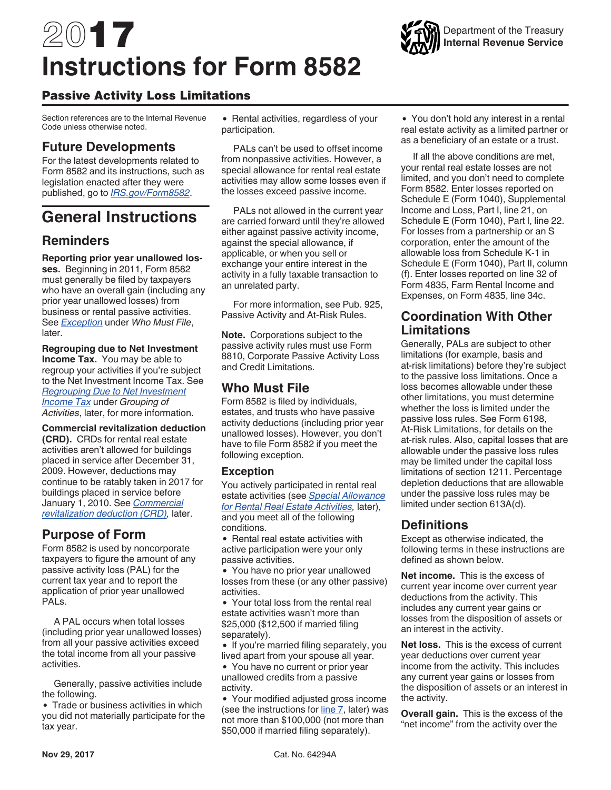# <span id="page-0-0"></span>2017 **Instructions for Form 8582**

## Passive Activity Loss Limitations

Section references are to the Internal Revenue Code unless otherwise noted.

## **Future Developments**

For the latest developments related to Form 8582 and its instructions, such as legislation enacted after they were published, go to *[IRS.gov/Form8582](https://www.irs.gov/form8582)*.

## **General Instructions**

## **Reminders**

**Reporting prior year unallowed losses.** Beginning in 2011, Form 8582 must generally be filed by taxpayers who have an overall gain (including any prior year unallowed losses) from business or rental passive activities. See *Exception* under *Who Must File*, later.

**Regrouping due to Net Investment Income Tax.** You may be able to regroup your activities if you're subject to the Net Investment Income Tax. See *[Regrouping Due to Net Investment](#page-4-0) [Income Tax](#page-4-0)* under *Grouping of Activities*, later, for more information.

**Commercial revitalization deduction (CRD).** CRDs for rental real estate activities aren't allowed for buildings placed in service after December 31, 2009. However, deductions may continue to be ratably taken in 2017 for buildings placed in service before January 1, 2010. See *[Commercial](#page-3-0)  [revitalization deduction \(CRD\)](#page-3-0),* later.

## **Purpose of Form**

Form 8582 is used by noncorporate taxpayers to figure the amount of any passive activity loss (PAL) for the current tax year and to report the application of prior year unallowed PALs.

A PAL occurs when total losses (including prior year unallowed losses) from all your passive activities exceed the total income from all your passive activities.

Generally, passive activities include the following.

• Trade or business activities in which you did not materially participate for the tax year.

• Rental activities, regardless of your participation.

PALs can't be used to offset income from nonpassive activities. However, a special allowance for rental real estate activities may allow some losses even if the losses exceed passive income.

PALs not allowed in the current year are carried forward until they're allowed either against passive activity income, against the special allowance, if applicable, or when you sell or exchange your entire interest in the activity in a fully taxable transaction to an unrelated party.

For more information, see Pub. 925, Passive Activity and At-Risk Rules.

**Note.** Corporations subject to the passive activity rules must use Form 8810, Corporate Passive Activity Loss and Credit Limitations.

## **Who Must File**

Form 8582 is filed by individuals, estates, and trusts who have passive activity deductions (including prior year unallowed losses). However, you don't have to file Form 8582 if you meet the following exception.

#### **Exception**

You actively participated in rental real estate activities (see *[Special Allowance](#page-2-0) [for Rental Real Estate Activities](#page-2-0),* later), and you meet all of the following conditions.

• Rental real estate activities with active participation were your only passive activities.

You have no prior year unallowed losses from these (or any other passive) activities.

Your total loss from the rental real estate activities wasn't more than \$25,000 (\$12,500 if married filing separately).

• If you're married filing separately, you lived apart from your spouse all year.

You have no current or prior year unallowed credits from a passive activity.

Your modified adjusted gross income (see the instructions for [line 7](#page-8-0), later) was not more than \$100,000 (not more than \$50,000 if married filing separately).

You don't hold any interest in a rental real estate activity as a limited partner or as a beneficiary of an estate or a trust.

If all the above conditions are met, your rental real estate losses are not limited, and you don't need to complete Form 8582. Enter losses reported on Schedule E (Form 1040), Supplemental Income and Loss, Part I, line 21, on Schedule E (Form 1040), Part l, line 22. For losses from a partnership or an S corporation, enter the amount of the allowable loss from Schedule K-1 in Schedule E (Form 1040), Part II, column (f). Enter losses reported on line 32 of Form 4835, Farm Rental Income and Expenses, on Form 4835, line 34c.

## **Coordination With Other Limitations**

Generally, PALs are subject to other limitations (for example, basis and at-risk limitations) before they're subject to the passive loss limitations. Once a loss becomes allowable under these other limitations, you must determine whether the loss is limited under the passive loss rules. See Form 6198, At-Risk Limitations, for details on the at-risk rules. Also, capital losses that are allowable under the passive loss rules may be limited under the capital loss limitations of section 1211. Percentage depletion deductions that are allowable under the passive loss rules may be limited under section 613A(d).

## **Definitions**

Except as otherwise indicated, the following terms in these instructions are defined as shown below.

**Net income.** This is the excess of current year income over current year deductions from the activity. This includes any current year gains or losses from the disposition of assets or an interest in the activity.

**Net loss.** This is the excess of current year deductions over current year income from the activity. This includes any current year gains or losses from the disposition of assets or an interest in the activity.

**Overall gain.** This is the excess of the "net income" from the activity over the

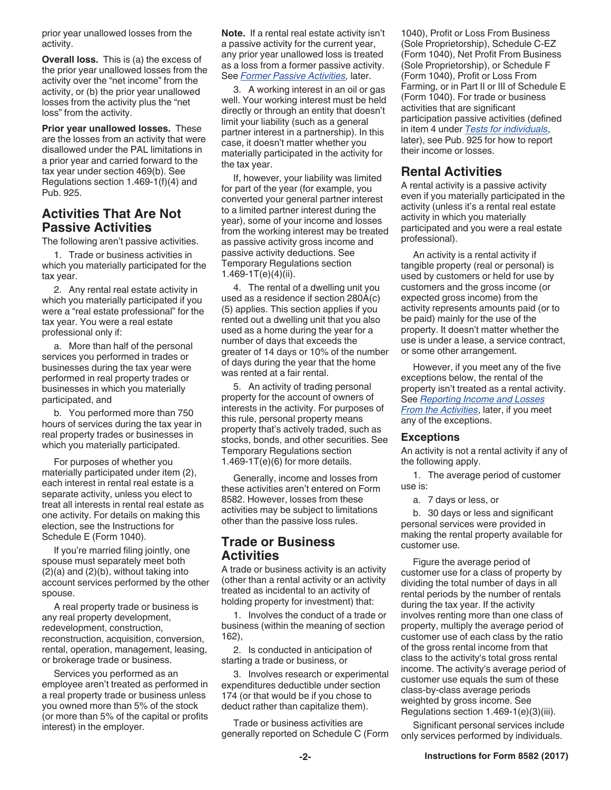<span id="page-1-0"></span>prior year unallowed losses from the activity.

**Overall loss.** This is (a) the excess of the prior year unallowed losses from the activity over the "net income" from the activity, or (b) the prior year unallowed losses from the activity plus the "net loss" from the activity.

**Prior year unallowed losses.** These are the losses from an activity that were disallowed under the PAL limitations in a prior year and carried forward to the tax year under section 469(b). See Regulations section 1.469-1(f)(4) and Pub. 925.

## **Activities That Are Not Passive Activities**

The following aren't passive activities.

1. Trade or business activities in which you materially participated for the tax year.

2. Any rental real estate activity in which you materially participated if you were a "real estate professional" for the tax year. You were a real estate professional only if:

a. More than half of the personal services you performed in trades or businesses during the tax year were performed in real property trades or businesses in which you materially participated, and

b. You performed more than 750 hours of services during the tax year in real property trades or businesses in which you materially participated.

For purposes of whether you materially participated under item (2), each interest in rental real estate is a separate activity, unless you elect to treat all interests in rental real estate as one activity. For details on making this election, see the Instructions for Schedule E (Form 1040).

If you're married filing jointly, one spouse must separately meet both (2)(a) and (2)(b), without taking into account services performed by the other spouse.

A real property trade or business is any real property development, redevelopment, construction, reconstruction, acquisition, conversion, rental, operation, management, leasing, or brokerage trade or business.

Services you performed as an employee aren't treated as performed in a real property trade or business unless you owned more than 5% of the stock (or more than 5% of the capital or profits interest) in the employer.

**Note.** If a rental real estate activity isn't a passive activity for the current year, any prior year unallowed loss is treated as a loss from a former passive activity. See *[Former Passive Activities](#page-6-0),* later.

3. A working interest in an oil or gas well. Your working interest must be held directly or through an entity that doesn't limit your liability (such as a general partner interest in a partnership). In this case, it doesn't matter whether you materially participated in the activity for the tax year.

If, however, your liability was limited for part of the year (for example, you converted your general partner interest to a limited partner interest during the year), some of your income and losses from the working interest may be treated as passive activity gross income and passive activity deductions. See Temporary Regulations section 1.469-1T(e)(4)(ii).

4. The rental of a dwelling unit you used as a residence if section 280A(c) (5) applies. This section applies if you rented out a dwelling unit that you also used as a home during the year for a number of days that exceeds the greater of 14 days or 10% of the number of days during the year that the home was rented at a fair rental.

5. An activity of trading personal property for the account of owners of interests in the activity. For purposes of this rule, personal property means property that's actively traded, such as stocks, bonds, and other securities. See Temporary Regulations section  $1.469 - 1T(e)(6)$  for more details.

Generally, income and losses from these activities aren't entered on Form 8582. However, losses from these activities may be subject to limitations other than the passive loss rules.

## **Trade or Business Activities**

A trade or business activity is an activity (other than a rental activity or an activity treated as incidental to an activity of holding property for investment) that:

1. Involves the conduct of a trade or business (within the meaning of section 162),

2. Is conducted in anticipation of starting a trade or business, or

3. Involves research or experimental expenditures deductible under section 174 (or that would be if you chose to deduct rather than capitalize them).

Trade or business activities are generally reported on Schedule C (Form 1040), Profit or Loss From Business (Sole Proprietorship), Schedule C-EZ (Form 1040), Net Profit From Business (Sole Proprietorship), or Schedule F (Form 1040), Profit or Loss From Farming, or in Part II or III of Schedule E (Form 1040). For trade or business activities that are significant participation passive activities (defined in item 4 under *[Tests for individuals](#page-3-0)*, later), see Pub. 925 for how to report their income or losses.

## **Rental Activities**

A rental activity is a passive activity even if you materially participated in the activity (unless it's a rental real estate activity in which you materially participated and you were a real estate professional).

An activity is a rental activity if tangible property (real or personal) is used by customers or held for use by customers and the gross income (or expected gross income) from the activity represents amounts paid (or to be paid) mainly for the use of the property. It doesn't matter whether the use is under a lease, a service contract, or some other arrangement.

However, if you meet any of the five exceptions below, the rental of the property isn't treated as a rental activity. See *[Reporting Income and Losses](#page-2-0) [From the Activities](#page-2-0)*, later, if you meet any of the exceptions.

#### **Exceptions**

An activity is not a rental activity if any of the following apply.

1. The average period of customer use is:

a. 7 days or less, or

b. 30 days or less and significant personal services were provided in making the rental property available for customer use.

Figure the average period of customer use for a class of property by dividing the total number of days in all rental periods by the number of rentals during the tax year. If the activity involves renting more than one class of property, multiply the average period of customer use of each class by the ratio of the gross rental income from that class to the activity's total gross rental income. The activity's average period of customer use equals the sum of these class-by-class average periods weighted by gross income. See Regulations section 1.469-1(e)(3)(iii).

Significant personal services include only services performed by individuals.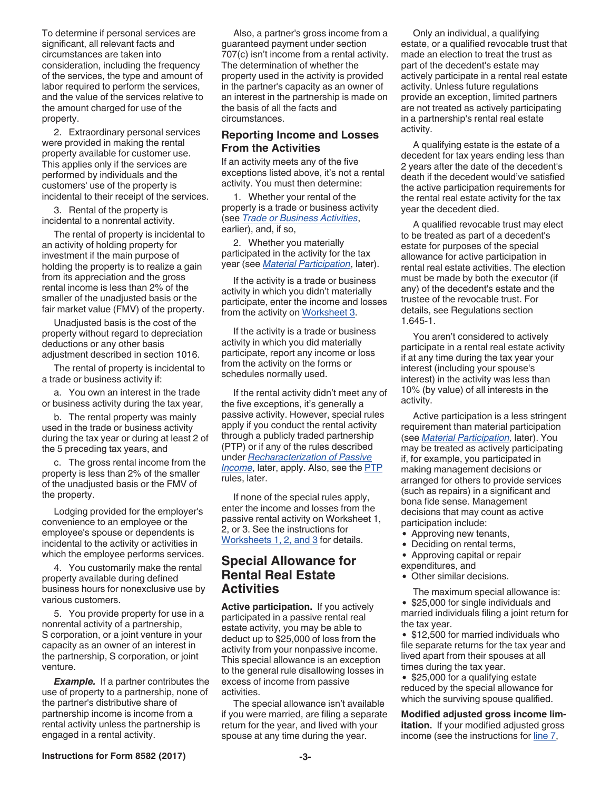<span id="page-2-0"></span>To determine if personal services are significant, all relevant facts and circumstances are taken into consideration, including the frequency of the services, the type and amount of labor required to perform the services, and the value of the services relative to the amount charged for use of the property.

2. Extraordinary personal services were provided in making the rental property available for customer use. This applies only if the services are performed by individuals and the customers' use of the property is incidental to their receipt of the services.

3. Rental of the property is incidental to a nonrental activity.

The rental of property is incidental to an activity of holding property for investment if the main purpose of holding the property is to realize a gain from its appreciation and the gross rental income is less than 2% of the smaller of the unadjusted basis or the fair market value (FMV) of the property.

Unadjusted basis is the cost of the property without regard to depreciation deductions or any other basis adjustment described in section 1016.

The rental of property is incidental to a trade or business activity if:

a. You own an interest in the trade or business activity during the tax year,

b. The rental property was mainly used in the trade or business activity during the tax year or during at least 2 of the 5 preceding tax years, and

c. The gross rental income from the property is less than 2% of the smaller of the unadjusted basis or the FMV of the property.

Lodging provided for the employer's convenience to an employee or the employee's spouse or dependents is incidental to the activity or activities in which the employee performs services.

4. You customarily make the rental property available during defined business hours for nonexclusive use by various customers.

5. You provide property for use in a nonrental activity of a partnership, S corporation, or a joint venture in your capacity as an owner of an interest in the partnership, S corporation, or joint venture.

*Example.* If a partner contributes the use of property to a partnership, none of the partner's distributive share of partnership income is income from a rental activity unless the partnership is engaged in a rental activity.

Also, a partner's gross income from a guaranteed payment under section 707(c) isn't income from a rental activity. The determination of whether the property used in the activity is provided in the partner's capacity as an owner of an interest in the partnership is made on the basis of all the facts and circumstances.

#### **Reporting Income and Losses From the Activities**

If an activity meets any of the five exceptions listed above, it's not a rental activity. You must then determine:

1. Whether your rental of the property is a trade or business activity (see *[Trade or Business Activities](#page-1-0)*, earlier), and, if so,

2. Whether you materially participated in the activity for the tax year (see *[Material Participation](#page-3-0)*, later).

If the activity is a trade or business activity in which you didn't materially participate, enter the income and losses from the activity on [Worksheet 3.](#page-8-0)

If the activity is a trade or business activity in which you did materially participate, report any income or loss from the activity on the forms or schedules normally used.

If the rental activity didn't meet any of the five exceptions, it's generally a passive activity. However, special rules apply if you conduct the rental activity through a publicly traded partnership (PTP) or if any of the rules described under *[Recharacterization of Passive](#page-6-0)  [Income](#page-6-0)*, later, apply. Also, see the [PTP](#page-12-0)  rules, later.

If none of the special rules apply, enter the income and losses from the passive rental activity on Worksheet 1, 2, or 3. See the instructions for [Worksheets 1, 2, and 3](#page-7-0) for details.

## **Special Allowance for Rental Real Estate Activities**

**Active participation.** If you actively participated in a passive rental real estate activity, you may be able to deduct up to \$25,000 of loss from the activity from your nonpassive income. This special allowance is an exception to the general rule disallowing losses in excess of income from passive activities.

The special allowance isn't available if you were married, are filing a separate return for the year, and lived with your spouse at any time during the year.

Only an individual, a qualifying estate, or a qualified revocable trust that made an election to treat the trust as part of the decedent's estate may actively participate in a rental real estate activity. Unless future regulations provide an exception, limited partners are not treated as actively participating in a partnership's rental real estate activity.

A qualifying estate is the estate of a decedent for tax years ending less than 2 years after the date of the decedent's death if the decedent would've satisfied the active participation requirements for the rental real estate activity for the tax year the decedent died.

A qualified revocable trust may elect to be treated as part of a decedent's estate for purposes of the special allowance for active participation in rental real estate activities. The election must be made by both the executor (if any) of the decedent's estate and the trustee of the revocable trust. For details, see Regulations section 1.645-1.

You aren't considered to actively participate in a rental real estate activity if at any time during the tax year your interest (including your spouse's interest) in the activity was less than 10% (by value) of all interests in the activity.

Active participation is a less stringent requirement than material participation (see *[Material Participation,](#page-3-0)* later). You may be treated as actively participating if, for example, you participated in making management decisions or arranged for others to provide services (such as repairs) in a significant and bona fide sense. Management decisions that may count as active participation include:

- Approving new tenants,
- Deciding on rental terms,
- Approving capital or repair
- expenditures, and
- Other similar decisions.

The maximum special allowance is: • \$25,000 for single individuals and married individuals filing a joint return for the tax year.

• \$12,500 for married individuals who file separate returns for the tax year and lived apart from their spouses at all times during the tax year.

• \$25,000 for a qualifying estate reduced by the special allowance for which the surviving spouse qualified.

**Modified adjusted gross income limitation.** If your modified adjusted gross income (see the instructions for [line 7](#page-8-0),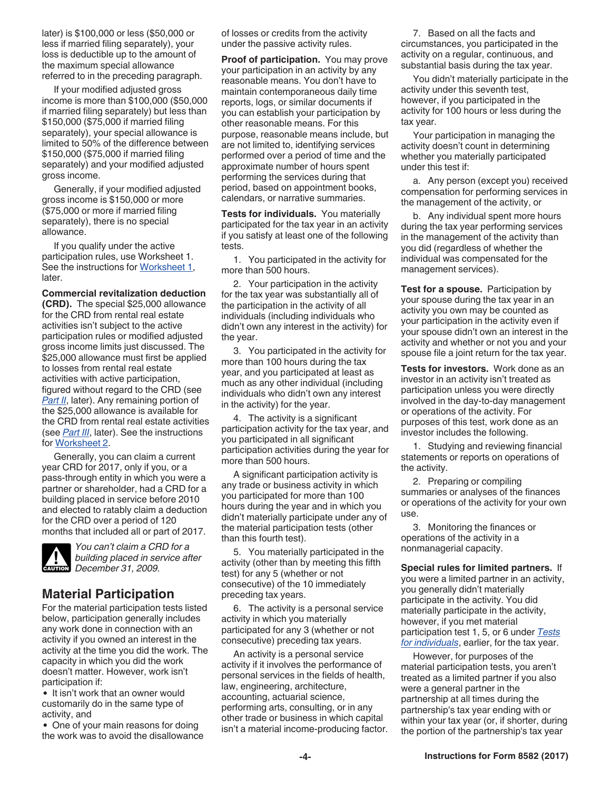<span id="page-3-0"></span>later) is \$100,000 or less (\$50,000 or less if married filing separately), your loss is deductible up to the amount of the maximum special allowance referred to in the preceding paragraph.

If your modified adjusted gross income is more than \$100,000 (\$50,000 if married filing separately) but less than \$150,000 (\$75,000 if married filing separately), your special allowance is limited to 50% of the difference between \$150,000 (\$75,000 if married filing separately) and your modified adjusted gross income.

Generally, if your modified adjusted gross income is \$150,000 or more (\$75,000 or more if married filing separately), there is no special allowance.

If you qualify under the active participation rules, use Worksheet 1. See the instructions for [Worksheet 1](#page-7-0), later.

**Commercial revitalization deduction (CRD).** The special \$25,000 allowance for the CRD from rental real estate activities isn't subject to the active participation rules or modified adjusted gross income limits just discussed. The \$25,000 allowance must first be applied to losses from rental real estate activities with active participation, figured without regard to the CRD (see *[Part II](#page-8-0)*, later). Any remaining portion of the \$25,000 allowance is available for the CRD from rental real estate activities (see *[Part III](#page-9-0)*, later). See the instructions for [Worksheet 2](#page-8-0).

Generally, you can claim a current year CRD for 2017, only if you, or a pass-through entity in which you were a partner or shareholder, had a CRD for a building placed in service before 2010 and elected to ratably claim a deduction for the CRD over a period of 120 months that included all or part of 2017.



*You can't claim a CRD for a building placed in service after December 31, 2009.* **CAUTION**

## **Material Participation**

For the material participation tests listed below, participation generally includes any work done in connection with an activity if you owned an interest in the activity at the time you did the work. The capacity in which you did the work doesn't matter. However, work isn't participation if:

• It isn't work that an owner would customarily do in the same type of activity, and

• One of your main reasons for doing the work was to avoid the disallowance of losses or credits from the activity under the passive activity rules.

**Proof of participation.** You may prove your participation in an activity by any reasonable means. You don't have to maintain contemporaneous daily time reports, logs, or similar documents if you can establish your participation by other reasonable means. For this purpose, reasonable means include, but are not limited to, identifying services performed over a period of time and the approximate number of hours spent performing the services during that period, based on appointment books, calendars, or narrative summaries.

**Tests for individuals.** You materially participated for the tax year in an activity if you satisfy at least one of the following tests.

1. You participated in the activity for more than 500 hours.

2. Your participation in the activity for the tax year was substantially all of the participation in the activity of all individuals (including individuals who didn't own any interest in the activity) for the year.

3. You participated in the activity for more than 100 hours during the tax year, and you participated at least as much as any other individual (including individuals who didn't own any interest in the activity) for the year.

4. The activity is a significant participation activity for the tax year, and you participated in all significant participation activities during the year for more than 500 hours.

A significant participation activity is any trade or business activity in which you participated for more than 100 hours during the year and in which you didn't materially participate under any of the material participation tests (other than this fourth test).

5. You materially participated in the activity (other than by meeting this fifth test) for any 5 (whether or not consecutive) of the 10 immediately preceding tax years.

6. The activity is a personal service activity in which you materially participated for any 3 (whether or not consecutive) preceding tax years.

An activity is a personal service activity if it involves the performance of personal services in the fields of health, law, engineering, architecture, accounting, actuarial science, performing arts, consulting, or in any other trade or business in which capital isn't a material income-producing factor.

7. Based on all the facts and circumstances, you participated in the activity on a regular, continuous, and substantial basis during the tax year.

You didn't materially participate in the activity under this seventh test, however, if you participated in the activity for 100 hours or less during the tax year.

Your participation in managing the activity doesn't count in determining whether you materially participated under this test if:

a. Any person (except you) received compensation for performing services in the management of the activity, or

b. Any individual spent more hours during the tax year performing services in the management of the activity than you did (regardless of whether the individual was compensated for the management services).

**Test for a spouse.** Participation by your spouse during the tax year in an activity you own may be counted as your participation in the activity even if your spouse didn't own an interest in the activity and whether or not you and your spouse file a joint return for the tax year.

**Tests for investors.** Work done as an investor in an activity isn't treated as participation unless you were directly involved in the day-to-day management or operations of the activity. For purposes of this test, work done as an investor includes the following.

1. Studying and reviewing financial statements or reports on operations of the activity.

2. Preparing or compiling summaries or analyses of the finances or operations of the activity for your own use.

3. Monitoring the finances or operations of the activity in a nonmanagerial capacity.

**Special rules for limited partners.** If you were a limited partner in an activity, you generally didn't materially participate in the activity. You did materially participate in the activity, however, if you met material participation test 1, 5, or 6 under *Tests for individuals*, earlier, for the tax year.

However, for purposes of the material participation tests, you aren't treated as a limited partner if you also were a general partner in the partnership at all times during the partnership's tax year ending with or within your tax year (or, if shorter, during the portion of the partnership's tax year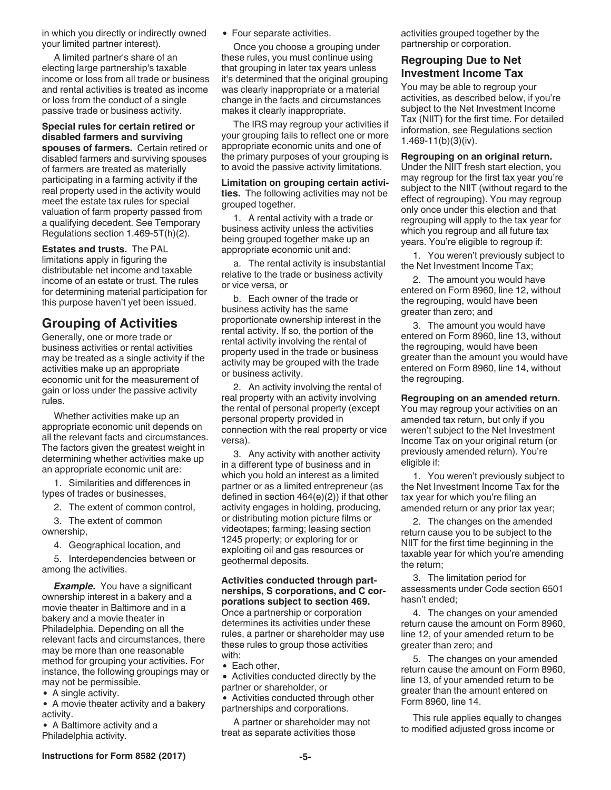<span id="page-4-0"></span>in which you directly or indirectly owned your limited partner interest).

A limited partner's share of an electing large partnership's taxable income or loss from all trade or business and rental activities is treated as income or loss from the conduct of a single passive trade or business activity.

**Special rules for certain retired or disabled farmers and surviving spouses of farmers.** Certain retired or disabled farmers and surviving spouses of farmers are treated as materially participating in a farming activity if the real property used in the activity would meet the estate tax rules for special valuation of farm property passed from a qualifying decedent. See Temporary Regulations section 1.469-5T(h)(2).

**Estates and trusts.** The PAL limitations apply in figuring the distributable net income and taxable income of an estate or trust. The rules for determining material participation for this purpose haven't yet been issued.

## **Grouping of Activities**

Generally, one or more trade or business activities or rental activities may be treated as a single activity if the activities make up an appropriate economic unit for the measurement of gain or loss under the passive activity rules.

Whether activities make up an appropriate economic unit depends on all the relevant facts and circumstances. The factors given the greatest weight in determining whether activities make up an appropriate economic unit are:

1. Similarities and differences in types of trades or businesses,

2. The extent of common control,

3. The extent of common

ownership,

4. Geographical location, and

5. Interdependencies between or among the activities.

**Example.** You have a significant ownership interest in a bakery and a movie theater in Baltimore and in a bakery and a movie theater in Philadelphia. Depending on all the relevant facts and circumstances, there may be more than one reasonable method for grouping your activities. For instance, the following groupings may or may not be permissible.

• A single activity.

A movie theater activity and a bakery activity.

• A Baltimore activity and a Philadelphia activity.

Four separate activities.

Once you choose a grouping under these rules, you must continue using that grouping in later tax years unless it's determined that the original grouping was clearly inappropriate or a material change in the facts and circumstances makes it clearly inappropriate.

The IRS may regroup your activities if your grouping fails to reflect one or more appropriate economic units and one of the primary purposes of your grouping is to avoid the passive activity limitations.

**Limitation on grouping certain activities.** The following activities may not be grouped together.

1. A rental activity with a trade or business activity unless the activities being grouped together make up an appropriate economic unit and:

a. The rental activity is insubstantial relative to the trade or business activity or vice versa, or

b. Each owner of the trade or business activity has the same proportionate ownership interest in the rental activity. If so, the portion of the rental activity involving the rental of property used in the trade or business activity may be grouped with the trade or business activity.

2. An activity involving the rental of real property with an activity involving the rental of personal property (except personal property provided in connection with the real property or vice versa).

3. Any activity with another activity in a different type of business and in which you hold an interest as a limited partner or as a limited entrepreneur (as defined in section 464(e)(2)) if that other activity engages in holding, producing, or distributing motion picture films or videotapes; farming; leasing section 1245 property; or exploring for or exploiting oil and gas resources or geothermal deposits.

**Activities conducted through partnerships, S corporations, and C corporations subject to section 469.**  Once a partnership or corporation determines its activities under these rules, a partner or shareholder may use these rules to group those activities

- with: • Each other,
- Activities conducted directly by the partner or shareholder, or

Activities conducted through other partnerships and corporations.

A partner or shareholder may not treat as separate activities those

activities grouped together by the partnership or corporation.

#### **Regrouping Due to Net Investment Income Tax**

You may be able to regroup your activities, as described below, if you're subject to the Net Investment Income Tax (NIIT) for the first time. For detailed information, see Regulations section 1.469-11(b)(3)(iv).

**Regrouping on an original return.** 

Under the NIIT fresh start election, you may regroup for the first tax year you're subject to the NIIT (without regard to the effect of regrouping). You may regroup only once under this election and that regrouping will apply to the tax year for which you regroup and all future tax years. You're eligible to regroup if:

1. You weren't previously subject to the Net Investment Income Tax;

2. The amount you would have entered on Form 8960, line 12, without the regrouping, would have been greater than zero; and

3. The amount you would have entered on Form 8960, line 13, without the regrouping, would have been greater than the amount you would have entered on Form 8960, line 14, without the regrouping.

**Regrouping on an amended return.**  You may regroup your activities on an amended tax return, but only if you weren't subject to the Net Investment Income Tax on your original return (or previously amended return). You're eligible if:

1. You weren't previously subject to the Net Investment Income Tax for the tax year for which you're filing an amended return or any prior tax year;

2. The changes on the amended return cause you to be subject to the NIIT for the first time beginning in the taxable year for which you're amending the return;

3. The limitation period for assessments under Code section 6501 hasn't ended;

4. The changes on your amended return cause the amount on Form 8960, line 12, of your amended return to be greater than zero; and

5. The changes on your amended return cause the amount on Form 8960, line 13, of your amended return to be greater than the amount entered on Form 8960, line 14.

This rule applies equally to changes to modified adjusted gross income or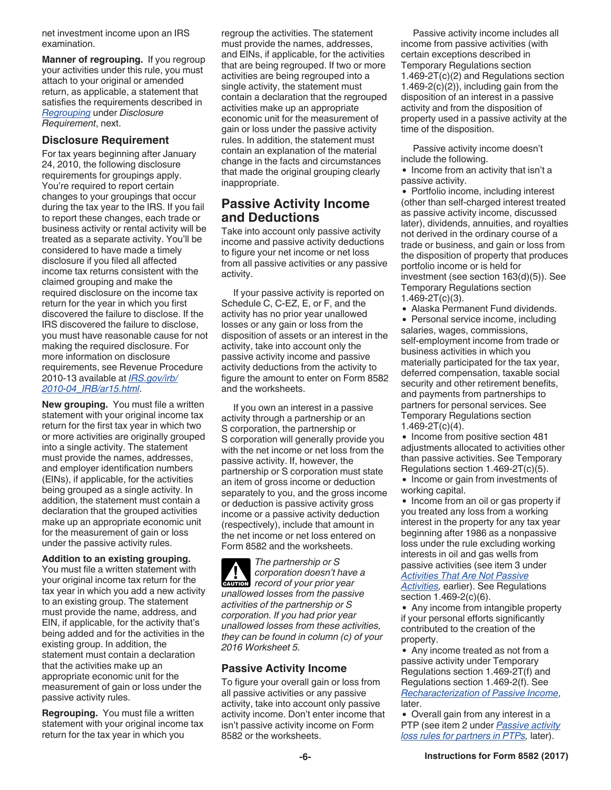<span id="page-5-0"></span>net investment income upon an IRS examination.

**Manner of regrouping.** If you regroup your activities under this rule, you must attach to your original or amended return, as applicable, a statement that satisfies the requirements described in *Regrouping* under *Disclosure Requirement*, next.

#### **Disclosure Requirement**

For tax years beginning after January 24, 2010, the following disclosure requirements for groupings apply. You're required to report certain changes to your groupings that occur during the tax year to the IRS. If you fail to report these changes, each trade or business activity or rental activity will be treated as a separate activity. You'll be considered to have made a timely disclosure if you filed all affected income tax returns consistent with the claimed grouping and make the required disclosure on the income tax return for the year in which you first discovered the failure to disclose. If the IRS discovered the failure to disclose, you must have reasonable cause for not making the required disclosure. For more information on disclosure requirements, see Revenue Procedure 2010-13 available at *[IRS.gov/irb/](https://www.irs.gov/irb/2010-04_IRB/ar15.html) [2010-04\\_IRB/ar15.html](https://www.irs.gov/irb/2010-04_IRB/ar15.html)*.

**New grouping.** You must file a written statement with your original income tax return for the first tax year in which two or more activities are originally grouped into a single activity. The statement must provide the names, addresses, and employer identification numbers (EINs), if applicable, for the activities being grouped as a single activity. In addition, the statement must contain a declaration that the grouped activities make up an appropriate economic unit for the measurement of gain or loss under the passive activity rules.

**Addition to an existing grouping.**  You must file a written statement with your original income tax return for the tax year in which you add a new activity to an existing group. The statement must provide the name, address, and EIN, if applicable, for the activity that's being added and for the activities in the existing group. In addition, the statement must contain a declaration that the activities make up an appropriate economic unit for the measurement of gain or loss under the passive activity rules.

**Regrouping.** You must file a written statement with your original income tax return for the tax year in which you

regroup the activities. The statement must provide the names, addresses, and EINs, if applicable, for the activities that are being regrouped. If two or more activities are being regrouped into a single activity, the statement must contain a declaration that the regrouped activities make up an appropriate economic unit for the measurement of gain or loss under the passive activity rules. In addition, the statement must contain an explanation of the material change in the facts and circumstances that made the original grouping clearly inappropriate.

## **Passive Activity Income and Deductions**

Take into account only passive activity income and passive activity deductions to figure your net income or net loss from all passive activities or any passive activity.

If your passive activity is reported on Schedule C, C-EZ, E, or F, and the activity has no prior year unallowed losses or any gain or loss from the disposition of assets or an interest in the activity, take into account only the passive activity income and passive activity deductions from the activity to figure the amount to enter on Form 8582 and the worksheets.

If you own an interest in a passive activity through a partnership or an S corporation, the partnership or S corporation will generally provide you with the net income or net loss from the passive activity. If, however, the partnership or S corporation must state an item of gross income or deduction separately to you, and the gross income or deduction is passive activity gross income or a passive activity deduction (respectively), include that amount in the net income or net loss entered on Form 8582 and the worksheets.

*The partnership or S corporation doesn't have a*  **Proposition** doesn't have<br> **CAUTION** record of your prior year *unallowed losses from the passive activities of the partnership or S corporation. If you had prior year unallowed losses from these activities, they can be found in column (c) of your 2016 Worksheet 5.*

#### **Passive Activity Income**

To figure your overall gain or loss from all passive activities or any passive activity, take into account only passive activity income. Don't enter income that isn't passive activity income on Form 8582 or the worksheets.

Passive activity income includes all income from passive activities (with certain exceptions described in Temporary Regulations section 1.469-2T(c)(2) and Regulations section  $1.469-2(c)(2)$ , including gain from the disposition of an interest in a passive activity and from the disposition of property used in a passive activity at the time of the disposition.

Passive activity income doesn't include the following.

• Income from an activity that isn't a passive activity.

• Portfolio income, including interest (other than self-charged interest treated as passive activity income, discussed later), dividends, annuities, and royalties not derived in the ordinary course of a trade or business, and gain or loss from the disposition of property that produces portfolio income or is held for investment (see section 163(d)(5)). See Temporary Regulations section  $1.469 - 2T(c)(3)$ .

Alaska Permanent Fund dividends.

• Personal service income, including salaries, wages, commissions, self-employment income from trade or business activities in which you materially participated for the tax year, deferred compensation, taxable social security and other retirement benefits, and payments from partnerships to partners for personal services. See Temporary Regulations section 1.469-2T(c)(4).

• Income from positive section 481 adjustments allocated to activities other than passive activities. See Temporary Regulations section 1.469-2T(c)(5).

• Income or gain from investments of working capital.

• Income from an oil or gas property if you treated any loss from a working interest in the property for any tax year beginning after 1986 as a nonpassive loss under the rule excluding working interests in oil and gas wells from passive activities (see item 3 under *[Activities That Are Not Passive](#page-1-0) [Activities](#page-1-0),* earlier). See Regulations

section 1.469-2(c)(6).

• Any income from intangible property if your personal efforts significantly contributed to the creation of the property.

Any income treated as not from a passive activity under Temporary Regulations section 1.469-2T(f) and Regulations section 1.469-2(f). See *[Recharacterization of Passive Income](#page-6-0)*, later.

Overall gain from any interest in a PTP (see item 2 under *[Passive activity](#page-12-0)  [loss rules for partners in PTPs,](#page-12-0)* later).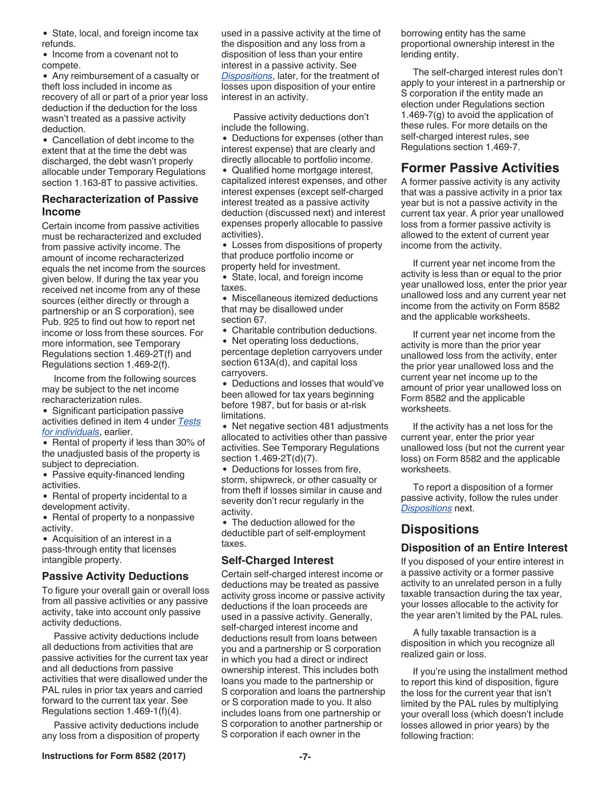<span id="page-6-0"></span>• State, local, and foreign income tax refunds.

• Income from a covenant not to compete.

Any reimbursement of a casualty or theft loss included in income as recovery of all or part of a prior year loss deduction if the deduction for the loss wasn't treated as a passive activity deduction.

Cancellation of debt income to the extent that at the time the debt was discharged, the debt wasn't properly allocable under Temporary Regulations section 1.163-8T to passive activities.

#### **Recharacterization of Passive Income**

Certain income from passive activities must be recharacterized and excluded from passive activity income. The amount of income recharacterized equals the net income from the sources given below. If during the tax year you received net income from any of these sources (either directly or through a partnership or an S corporation), see Pub. 925 to find out how to report net income or loss from these sources. For more information, see Temporary Regulations section 1.469-2T(f) and Regulations section 1.469-2(f).

Income from the following sources may be subject to the net income recharacterization rules.

• Significant participation passive activities defined in item 4 under *[Tests](#page-3-0) [for individuals](#page-3-0)*, earlier.

• Rental of property if less than 30% of the unadjusted basis of the property is subject to depreciation.

• Passive equity-financed lending activities.

• Rental of property incidental to a development activity.

• Rental of property to a nonpassive activity.

• Acquisition of an interest in a pass-through entity that licenses intangible property.

#### **Passive Activity Deductions**

To figure your overall gain or overall loss from all passive activities or any passive activity, take into account only passive activity deductions.

Passive activity deductions include all deductions from activities that are passive activities for the current tax year and all deductions from passive activities that were disallowed under the PAL rules in prior tax years and carried forward to the current tax year. See Regulations section 1.469-1(f)(4).

Passive activity deductions include any loss from a disposition of property used in a passive activity at the time of the disposition and any loss from a disposition of less than your entire interest in a passive activity. See *Dispositions*, later, for the treatment of losses upon disposition of your entire interest in an activity.

Passive activity deductions don't include the following.

• Deductions for expenses (other than interest expense) that are clearly and directly allocable to portfolio income.

Qualified home mortgage interest, capitalized interest expenses, and other interest expenses (except self-charged interest treated as a passive activity deduction (discussed next) and interest expenses properly allocable to passive activities).

Losses from dispositions of property that produce portfolio income or property held for investment.

State, local, and foreign income taxes.

Miscellaneous itemized deductions that may be disallowed under section 67.

Charitable contribution deductions.

• Net operating loss deductions, percentage depletion carryovers under section 613A(d), and capital loss carryovers.

Deductions and losses that would've been allowed for tax years beginning before 1987, but for basis or at-risk limitations.

• Net negative section 481 adjustments allocated to activities other than passive activities. See Temporary Regulations section 1.469-2T(d)(7).

Deductions for losses from fire, storm, shipwreck, or other casualty or from theft if losses similar in cause and severity don't recur regularly in the activity.

• The deduction allowed for the deductible part of self-employment taxes.

#### **Self-Charged Interest**

Certain self-charged interest income or deductions may be treated as passive activity gross income or passive activity deductions if the loan proceeds are used in a passive activity. Generally, self-charged interest income and deductions result from loans between you and a partnership or S corporation in which you had a direct or indirect ownership interest. This includes both loans you made to the partnership or S corporation and loans the partnership or S corporation made to you. It also includes loans from one partnership or S corporation to another partnership or S corporation if each owner in the

**Instructions for Form 8582 (2017) -7-**

The self-charged interest rules don't apply to your interest in a partnership or S corporation if the entity made an election under Regulations section 1.469-7(g) to avoid the application of these rules. For more details on the self-charged interest rules, see Regulations section 1.469-7.

## **Former Passive Activities**

A former passive activity is any activity that was a passive activity in a prior tax year but is not a passive activity in the current tax year. A prior year unallowed loss from a former passive activity is allowed to the extent of current year income from the activity.

If current year net income from the activity is less than or equal to the prior year unallowed loss, enter the prior year unallowed loss and any current year net income from the activity on Form 8582 and the applicable worksheets.

If current year net income from the activity is more than the prior year unallowed loss from the activity, enter the prior year unallowed loss and the current year net income up to the amount of prior year unallowed loss on Form 8582 and the applicable worksheets.

If the activity has a net loss for the current year, enter the prior year unallowed loss (but not the current year loss) on Form 8582 and the applicable worksheets.

To report a disposition of a former passive activity, follow the rules under *Dispositions* next.

## **Dispositions**

#### **Disposition of an Entire Interest**

If you disposed of your entire interest in a passive activity or a former passive activity to an unrelated person in a fully taxable transaction during the tax year, your losses allocable to the activity for the year aren't limited by the PAL rules.

A fully taxable transaction is a disposition in which you recognize all realized gain or loss.

If you're using the installment method to report this kind of disposition, figure the loss for the current year that isn't limited by the PAL rules by multiplying your overall loss (which doesn't include losses allowed in prior years) by the following fraction: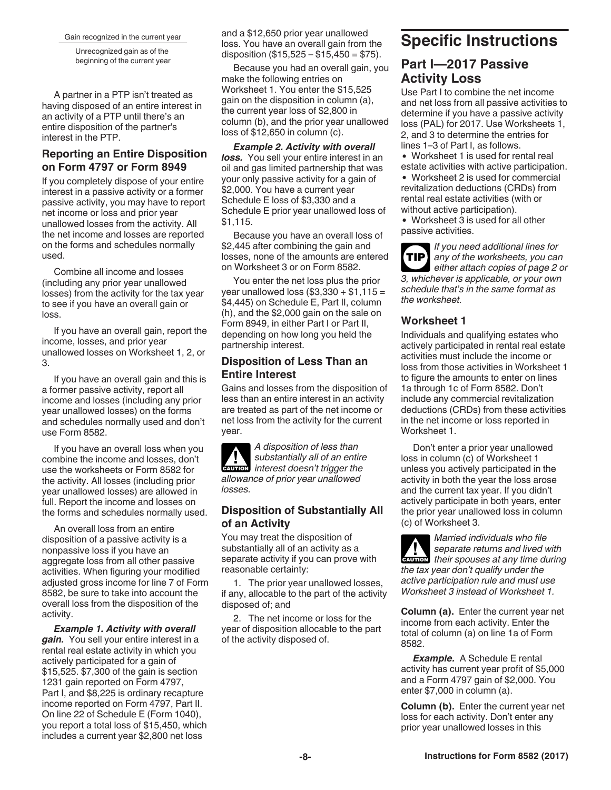<span id="page-7-0"></span>Gain recognized in the current year

Unrecognized gain as of the beginning of the current year

A partner in a PTP isn't treated as having disposed of an entire interest in an activity of a PTP until there's an entire disposition of the partner's interest in the PTP.

#### **Reporting an Entire Disposition on Form 4797 or Form 8949**

If you completely dispose of your entire interest in a passive activity or a former passive activity, you may have to report net income or loss and prior year unallowed losses from the activity. All the net income and losses are reported on the forms and schedules normally used.

Combine all income and losses (including any prior year unallowed losses) from the activity for the tax year to see if you have an overall gain or loss.

If you have an overall gain, report the income, losses, and prior year unallowed losses on Worksheet 1, 2, or 3.

If you have an overall gain and this is a former passive activity, report all income and losses (including any prior year unallowed losses) on the forms and schedules normally used and don't use Form 8582.

If you have an overall loss when you combine the income and losses, don't use the worksheets or Form 8582 for the activity. All losses (including prior year unallowed losses) are allowed in full. Report the income and losses on the forms and schedules normally used.

An overall loss from an entire disposition of a passive activity is a nonpassive loss if you have an aggregate loss from all other passive activities. When figuring your modified adjusted gross income for line 7 of Form 8582, be sure to take into account the overall loss from the disposition of the activity.

*Example 1. Activity with overall gain.* You sell your entire interest in a rental real estate activity in which you actively participated for a gain of \$15,525. \$7,300 of the gain is section 1231 gain reported on Form 4797, Part I, and \$8,225 is ordinary recapture income reported on Form 4797, Part II. On line 22 of Schedule E (Form 1040), you report a total loss of \$15,450, which includes a current year \$2,800 net loss

and a \$12,650 prior year unallowed loss. You have an overall gain from the disposition  $(\$15,525 - \$15,450 = \$75)$ .

Because you had an overall gain, you make the following entries on Worksheet 1. You enter the \$15,525 gain on the disposition in column (a), the current year loss of \$2,800 in column (b), and the prior year unallowed loss of \$12,650 in column (c).

*Example 2. Activity with overall*  **loss.** You sell your entire interest in an oil and gas limited partnership that was your only passive activity for a gain of \$2,000. You have a current year Schedule E loss of \$3,330 and a Schedule E prior year unallowed loss of \$1,115.

Because you have an overall loss of \$2,445 after combining the gain and losses, none of the amounts are entered on Worksheet 3 or on Form 8582.

You enter the net loss plus the prior year unallowed loss  $(\$3,330 + \$1,115 =$ \$4,445) on Schedule E, Part II, column (h), and the \$2,000 gain on the sale on Form 8949, in either Part I or Part II, depending on how long you held the partnership interest.

#### **Disposition of Less Than an Entire Interest**

Gains and losses from the disposition of less than an entire interest in an activity are treated as part of the net income or net loss from the activity for the current year.

*A disposition of less than substantially all of an entire interest doesn't trigger the allowance of prior year unallowed losses.* **CAUTION !**

#### **Disposition of Substantially All of an Activity**

You may treat the disposition of substantially all of an activity as a separate activity if you can prove with reasonable certainty:

1. The prior year unallowed losses, if any, allocable to the part of the activity disposed of; and

2. The net income or loss for the year of disposition allocable to the part of the activity disposed of.

# **Specific Instructions**

## **Part I—2017 Passive Activity Loss**

Use Part I to combine the net income and net loss from all passive activities to determine if you have a passive activity loss (PAL) for 2017. Use Worksheets 1, 2, and 3 to determine the entries for lines 1–3 of Part I, as follows.

Worksheet 1 is used for rental real estate activities with active participation.

Worksheet 2 is used for commercial revitalization deductions (CRDs) from rental real estate activities (with or without active participation).

Worksheet 3 is used for all other passive activities.

*If you need additional lines for any of the worksheets, you can either attach copies of page 2 or 3, whichever is applicable, or your own schedule that's in the same format as the worksheet.* **TIP**

## **Worksheet 1**

Individuals and qualifying estates who actively participated in rental real estate activities must include the income or loss from those activities in Worksheet 1 to figure the amounts to enter on lines 1a through 1c of Form 8582. Don't include any commercial revitalization deductions (CRDs) from these activities in the net income or loss reported in Worksheet 1.

Don't enter a prior year unallowed loss in column (c) of Worksheet 1 unless you actively participated in the activity in both the year the loss arose and the current tax year. If you didn't actively participate in both years, enter the prior year unallowed loss in column (c) of Worksheet 3.

*Married individuals who file separate returns and lived with*  **z** separate returns and lived with their spouses at any time during *the tax year don't qualify under the active participation rule and must use Worksheet 3 instead of Worksheet 1.*

**Column (a).** Enter the current year net income from each activity. Enter the total of column (a) on line 1a of Form 8582.

*Example.* A Schedule E rental activity has current year profit of \$5,000 and a Form 4797 gain of \$2,000. You enter \$7,000 in column (a).

**Column (b).** Enter the current year net loss for each activity. Don't enter any prior year unallowed losses in this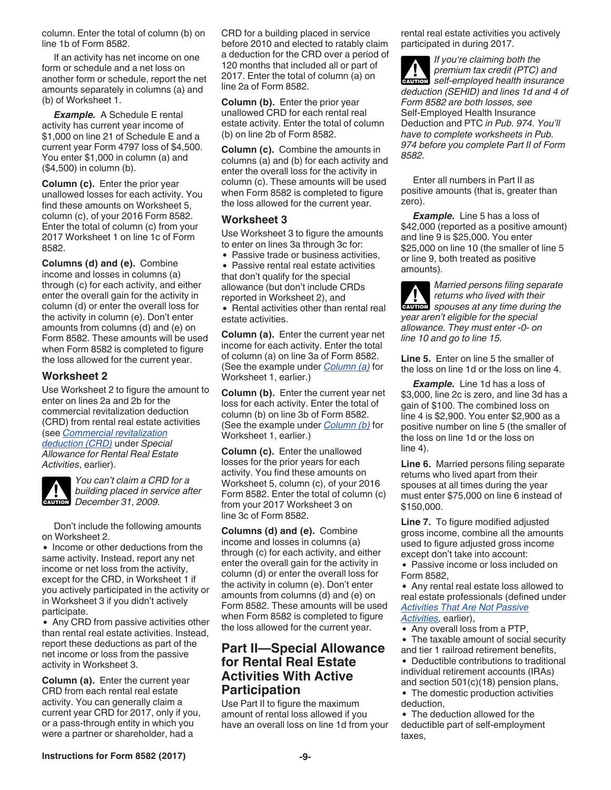<span id="page-8-0"></span>column. Enter the total of column (b) on line 1b of Form 8582.

If an activity has net income on one form or schedule and a net loss on another form or schedule, report the net amounts separately in columns (a) and (b) of Worksheet 1.

*Example.* A Schedule E rental activity has current year income of \$1,000 on line 21 of Schedule E and a current year Form 4797 loss of \$4,500. You enter \$1,000 in column (a) and (\$4,500) in column (b).

**Column (c).** Enter the prior year unallowed losses for each activity. You find these amounts on Worksheet 5, column (c), of your 2016 Form 8582. Enter the total of column (c) from your 2017 Worksheet 1 on line 1c of Form 8582.

**Columns (d) and (e).** Combine income and losses in columns (a) through (c) for each activity, and either enter the overall gain for the activity in column (d) or enter the overall loss for the activity in column (e). Don't enter amounts from columns (d) and (e) on Form 8582. These amounts will be used when Form 8582 is completed to figure the loss allowed for the current year.

#### **Worksheet 2**

Use Worksheet 2 to figure the amount to enter on lines 2a and 2b for the commercial revitalization deduction (CRD) from rental real estate activities (see *[Commercial revitalization](#page-3-0)  [deduction \(CRD\)](#page-3-0)* under *Special Allowance for Rental Real Estate Activities*, earlier).



*You can't claim a CRD for a building placed in service after*  **building placed in se**<br> **December 31, 2009.** 

Don't include the following amounts on Worksheet 2.

• Income or other deductions from the same activity. Instead, report any net income or net loss from the activity, except for the CRD, in Worksheet 1 if you actively participated in the activity or in Worksheet 3 if you didn't actively participate.

• Any CRD from passive activities other than rental real estate activities. Instead, report these deductions as part of the net income or loss from the passive activity in Worksheet 3.

**Column (a).** Enter the current year CRD from each rental real estate activity. You can generally claim a current year CRD for 2017, only if you, or a pass-through entity in which you were a partner or shareholder, had a

CRD for a building placed in service before 2010 and elected to ratably claim a deduction for the CRD over a period of 120 months that included all or part of 2017. Enter the total of column (a) on line 2a of Form 8582.

**Column (b).** Enter the prior year unallowed CRD for each rental real estate activity. Enter the total of column (b) on line 2b of Form 8582.

**Column (c).** Combine the amounts in columns (a) and (b) for each activity and enter the overall loss for the activity in column (c). These amounts will be used when Form 8582 is completed to figure the loss allowed for the current year.

#### **Worksheet 3**

Use Worksheet 3 to figure the amounts to enter on lines 3a through 3c for:

• Passive trade or business activities,

• Passive rental real estate activities that don't qualify for the special allowance (but don't include CRDs reported in Worksheet 2), and

• Rental activities other than rental real estate activities.

**Column (a).** Enter the current year net income for each activity. Enter the total of column (a) on line 3a of Form 8582. (See the example under *[Column \(a\)](#page-7-0)* for Worksheet 1, earlier.)

**Column (b).** Enter the current year net loss for each activity. Enter the total of column (b) on line 3b of Form 8582. (See the example under *[Column \(b\)](#page-7-0)* for Worksheet 1, earlier.)

**Column (c).** Enter the unallowed losses for the prior years for each activity. You find these amounts on Worksheet 5, column (c), of your 2016 Form 8582. Enter the total of column (c) from your 2017 Worksheet 3 on line 3c of Form 8582.

**Columns (d) and (e).** Combine income and losses in columns (a) through (c) for each activity, and either enter the overall gain for the activity in column (d) or enter the overall loss for the activity in column (e). Don't enter amounts from columns (d) and (e) on Form 8582. These amounts will be used when Form 8582 is completed to figure the loss allowed for the current year.

## **Part II—Special Allowance for Rental Real Estate Activities With Active Participation**

Use Part II to figure the maximum amount of rental loss allowed if you have an overall loss on line 1d from your rental real estate activities you actively participated in during 2017.

*If you're claiming both the premium tax credit (PTC) and*  **z** premium tax credit (PTC) and<br>self-employed health insurance *deduction (SEHID) and lines 1d and 4 of Form 8582 are both losses, see*  Self-Employed Health Insurance Deduction and PTC *in Pub. 974. You'll have to complete worksheets in Pub. 974 before you complete Part II of Form 8582.*

Enter all numbers in Part II as positive amounts (that is, greater than zero).

*Example.* Line 5 has a loss of \$42,000 (reported as a positive amount) and line 9 is \$25,000. You enter \$25,000 on line 10 (the smaller of line 5 or line 9, both treated as positive amounts).

*Married persons filing separate returns who lived with their*  **z** *spouses at any time during the year aren't eligible for the special allowance. They must enter -0- on line 10 and go to line 15.*

**Line 5.** Enter on line 5 the smaller of the loss on line 1d or the loss on line 4.

*Example.* Line 1d has a loss of \$3,000, line 2c is zero, and line 3d has a gain of \$100. The combined loss on line 4 is \$2,900. You enter \$2,900 as a positive number on line 5 (the smaller of the loss on line 1d or the loss on line 4).

**Line 6.** Married persons filing separate returns who lived apart from their spouses at all times during the year must enter \$75,000 on line 6 instead of \$150,000.

**Line 7.** To figure modified adjusted gross income, combine all the amounts used to figure adjusted gross income except don't take into account:

• Passive income or loss included on Form 8582,

Any rental real estate loss allowed to real estate professionals (defined under *[Activities That Are Not Passive](#page-1-0) [Activities](#page-1-0),* earlier),

• Any overall loss from a PTP,

The taxable amount of social security and tier 1 railroad retirement benefits,

- Deductible contributions to traditional individual retirement accounts (IRAs) and section 501(c)(18) pension plans,
- The domestic production activities deduction, The deduction allowed for the
- deductible part of self-employment taxes,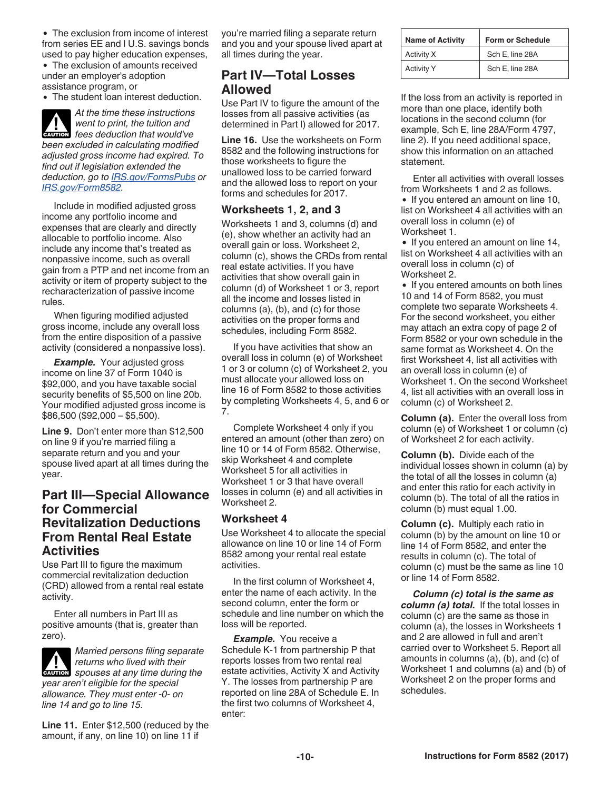<span id="page-9-0"></span>• The exclusion from income of interest from series EE and I U.S. savings bonds used to pay higher education expenses,

The exclusion of amounts received under an employer's adoption assistance program, or

• The student loan interest deduction.

*At the time these instructions went to print, the tuition and fees deduction that would've been excluded in calculating modified adjusted gross income had expired. To find out if legislation extended the deduction, go to [IRS.gov/FormsPubs](https://www.irs.gov/FormsPubs) or [IRS.gov/Form8582](https://www.irs.gov/Form8582).*

Include in modified adjusted gross income any portfolio income and expenses that are clearly and directly allocable to portfolio income. Also include any income that's treated as nonpassive income, such as overall gain from a PTP and net income from an activity or item of property subject to the recharacterization of passive income rules.

When figuring modified adjusted gross income, include any overall loss from the entire disposition of a passive activity (considered a nonpassive loss).

**Example.** Your adjusted gross income on line 37 of Form 1040 is \$92,000, and you have taxable social security benefits of \$5,500 on line 20b. Your modified adjusted gross income is \$86,500 (\$92,000 – \$5,500).

**Line 9.** Don't enter more than \$12,500 on line 9 if you're married filing a separate return and you and your spouse lived apart at all times during the year.

## **Part III—Special Allowance for Commercial Revitalization Deductions From Rental Real Estate Activities**

Use Part III to figure the maximum commercial revitalization deduction (CRD) allowed from a rental real estate activity.

Enter all numbers in Part III as positive amounts (that is, greater than zero).

*Married persons filing separate returns who lived with their*  **z** *spouses at any time during the year aren't eligible for the special allowance. They must enter -0- on line 14 and go to line 15.*

**Line 11.** Enter \$12,500 (reduced by the amount, if any, on line 10) on line 11 if

you're married filing a separate return and you and your spouse lived apart at all times during the year.

## **Part IV—Total Losses Allowed**

Use Part IV to figure the amount of the losses from all passive activities (as determined in Part I) allowed for 2017.

**Line 16.** Use the worksheets on Form 8582 and the following instructions for those worksheets to figure the unallowed loss to be carried forward and the allowed loss to report on your forms and schedules for 2017.

#### **Worksheets 1, 2, and 3**

Worksheets 1 and 3, columns (d) and (e), show whether an activity had an overall gain or loss. Worksheet 2, column (c), shows the CRDs from rental real estate activities. If you have activities that show overall gain in column (d) of Worksheet 1 or 3, report all the income and losses listed in columns (a), (b), and (c) for those activities on the proper forms and schedules, including Form 8582.

If you have activities that show an overall loss in column (e) of Worksheet 1 or 3 or column (c) of Worksheet 2, you must allocate your allowed loss on line 16 of Form 8582 to those activities by completing Worksheets 4, 5, and 6 or 7.

Complete Worksheet 4 only if you entered an amount (other than zero) on line 10 or 14 of Form 8582. Otherwise, skip Worksheet 4 and complete Worksheet 5 for all activities in Worksheet 1 or 3 that have overall losses in column (e) and all activities in Worksheet 2.

#### **Worksheet 4**

Use Worksheet 4 to allocate the special allowance on line 10 or line 14 of Form 8582 among your rental real estate activities.

In the first column of Worksheet 4, enter the name of each activity. In the second column, enter the form or schedule and line number on which the loss will be reported.

*Example.* You receive a Schedule K-1 from partnership P that reports losses from two rental real estate activities, Activity X and Activity Y. The losses from partnership P are reported on line 28A of Schedule E. In the first two columns of Worksheet 4, enter:

| <b>Name of Activity</b> | <b>Form or Schedule</b> |  |
|-------------------------|-------------------------|--|
| Activity X              | Sch E, line 28A         |  |
| <b>Activity Y</b>       | Sch E, line 28A         |  |

If the loss from an activity is reported in more than one place, identify both locations in the second column (for example, Sch E, line 28A/Form 4797, line 2). If you need additional space, show this information on an attached statement.

Enter all activities with overall losses from Worksheets 1 and 2 as follows.

• If you entered an amount on line 10, list on Worksheet 4 all activities with an overall loss in column (e) of Worksheet 1.

• If you entered an amount on line 14, list on Worksheet 4 all activities with an overall loss in column (c) of Worksheet 2.

• If you entered amounts on both lines 10 and 14 of Form 8582, you must complete two separate Worksheets 4. For the second worksheet, you either may attach an extra copy of page 2 of Form 8582 or your own schedule in the same format as Worksheet 4. On the first Worksheet 4, list all activities with an overall loss in column (e) of Worksheet 1. On the second Worksheet 4, list all activities with an overall loss in column (c) of Worksheet 2.

**Column (a).** Enter the overall loss from column (e) of Worksheet 1 or column (c) of Worksheet 2 for each activity.

**Column (b).** Divide each of the individual losses shown in column (a) by the total of all the losses in column (a) and enter this ratio for each activity in column (b). The total of all the ratios in column (b) must equal 1.00.

**Column (c).** Multiply each ratio in column (b) by the amount on line 10 or line 14 of Form 8582, and enter the results in column (c). The total of column (c) must be the same as line 10 or line 14 of Form 8582.

*Column (c) total is the same as column (a) total.* If the total losses in column (c) are the same as those in column (a), the losses in Worksheets 1 and 2 are allowed in full and aren't carried over to Worksheet 5. Report all amounts in columns (a), (b), and (c) of Worksheet 1 and columns (a) and (b) of Worksheet 2 on the proper forms and schedules.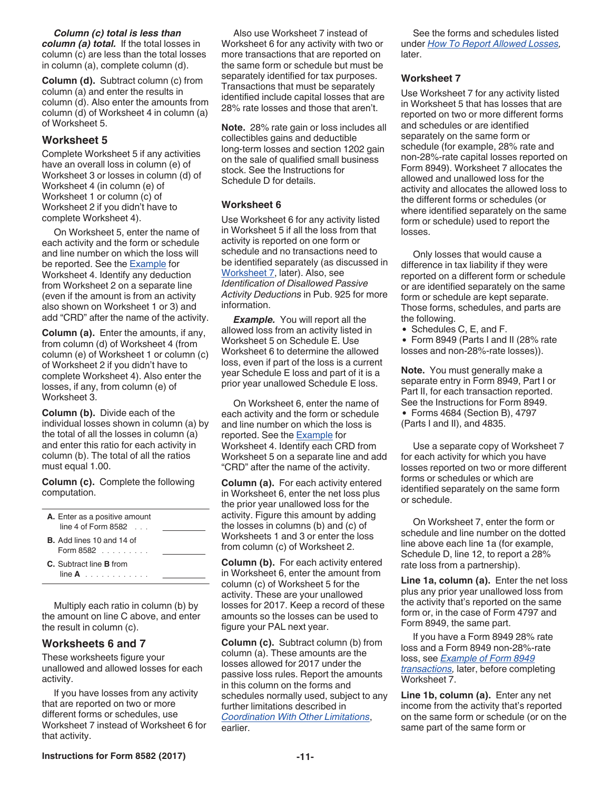*Column (c) total is less than column (a) total.* If the total losses in column (c) are less than the total losses in column (a), complete column (d).

**Column (d).** Subtract column (c) from column (a) and enter the results in column (d). Also enter the amounts from column (d) of Worksheet 4 in column (a) of Worksheet 5.

#### **Worksheet 5**

Complete Worksheet 5 if any activities have an overall loss in column (e) of Worksheet 3 or losses in column (d) of Worksheet 4 (in column (e) of Worksheet 1 or column (c) of Worksheet 2 if you didn't have to complete Worksheet 4).

On Worksheet 5, enter the name of each activity and the form or schedule and line number on which the loss will be reported. See the [Example](#page-9-0) for Worksheet 4. Identify any deduction from Worksheet 2 on a separate line (even if the amount is from an activity also shown on Worksheet 1 or 3) and add "CRD" after the name of the activity.

**Column (a).** Enter the amounts, if any, from column (d) of Worksheet 4 (from column (e) of Worksheet 1 or column (c) of Worksheet 2 if you didn't have to complete Worksheet 4). Also enter the losses, if any, from column (e) of Worksheet 3.

**Column (b).** Divide each of the individual losses shown in column (a) by the total of all the losses in column (a) and enter this ratio for each activity in column (b). The total of all the ratios must equal 1.00.

**Column (c).** Complete the following computation.

| <b>A.</b> Enter as a positive amount<br>line 4 of Form $8582$ |  |
|---------------------------------------------------------------|--|
| <b>B.</b> Add lines 10 and 14 of<br>Form $8582$               |  |
| C. Subtract line <b>B</b> from<br>$\lim_{n \to \infty} A$     |  |

Multiply each ratio in column (b) by the amount on line C above, and enter the result in column (c).

#### **Worksheets 6 and 7**

These worksheets figure your unallowed and allowed losses for each activity.

If you have losses from any activity that are reported on two or more different forms or schedules, use Worksheet 7 instead of Worksheet 6 for that activity.

Also use Worksheet 7 instead of Worksheet 6 for any activity with two or more transactions that are reported on the same form or schedule but must be separately identified for tax purposes. Transactions that must be separately identified include capital losses that are 28% rate losses and those that aren't.

**Note.** 28% rate gain or loss includes all collectibles gains and deductible long-term losses and section 1202 gain on the sale of qualified small business stock. See the Instructions for Schedule D for details.

#### **Worksheet 6**

Use Worksheet 6 for any activity listed in Worksheet 5 if all the loss from that activity is reported on one form or schedule and no transactions need to be identified separately (as discussed in Worksheet 7, later). Also, see *Identification of Disallowed Passive Activity Deductions* in Pub. 925 for more information.

*Example.* You will report all the allowed loss from an activity listed in Worksheet 5 on Schedule E. Use Worksheet 6 to determine the allowed loss, even if part of the loss is a current year Schedule E loss and part of it is a prior year unallowed Schedule E loss.

On Worksheet 6, enter the name of each activity and the form or schedule and line number on which the loss is reported. See the **Example** for Worksheet 4. Identify each CRD from Worksheet 5 on a separate line and add "CRD" after the name of the activity.

**Column (a).** For each activity entered in Worksheet 6, enter the net loss plus the prior year unallowed loss for the activity. Figure this amount by adding the losses in columns (b) and (c) of Worksheets 1 and 3 or enter the loss from column (c) of Worksheet 2.

**Column (b).** For each activity entered in Worksheet 6, enter the amount from column (c) of Worksheet 5 for the activity. These are your unallowed losses for 2017. Keep a record of these amounts so the losses can be used to figure your PAL next year.

**Column (c).** Subtract column (b) from column (a). These amounts are the losses allowed for 2017 under the passive loss rules. Report the amounts in this column on the forms and schedules normally used, subject to any further limitations described in *[Coordination With Other Limitations](#page-0-0)*, earlier.

See the forms and schedules listed under *[How To Report Allowed Losses,](#page-11-0)*  later.

#### **Worksheet 7**

Use Worksheet 7 for any activity listed in Worksheet 5 that has losses that are reported on two or more different forms and schedules or are identified separately on the same form or schedule (for example, 28% rate and non-28%-rate capital losses reported on Form 8949). Worksheet 7 allocates the allowed and unallowed loss for the activity and allocates the allowed loss to the different forms or schedules (or where identified separately on the same form or schedule) used to report the losses.

Only losses that would cause a difference in tax liability if they were reported on a different form or schedule or are identified separately on the same form or schedule are kept separate. Those forms, schedules, and parts are the following.

• Schedules C, E, and F.

Form 8949 (Parts I and II (28% rate losses and non-28%-rate losses)).

**Note.** You must generally make a separate entry in Form 8949, Part I or Part II, for each transaction reported. See the Instructions for Form 8949. Forms 4684 (Section B), 4797 (Parts I and II), and 4835.

Use a separate copy of Worksheet 7 for each activity for which you have losses reported on two or more different forms or schedules or which are identified separately on the same form or schedule.

On Worksheet 7, enter the form or schedule and line number on the dotted line above each line 1a (for example, Schedule D, line 12, to report a 28% rate loss from a partnership).

**Line 1a, column (a).** Enter the net loss plus any prior year unallowed loss from the activity that's reported on the same form or, in the case of Form 4797 and Form 8949, the same part.

If you have a Form 8949 28% rate loss and a Form 8949 non-28%-rate loss, see *[Example of Form 8949](#page-11-0) [transactions](#page-11-0),* later, before completing Worksheet 7.

**Line 1b, column (a).** Enter any net income from the activity that's reported on the same form or schedule (or on the same part of the same form or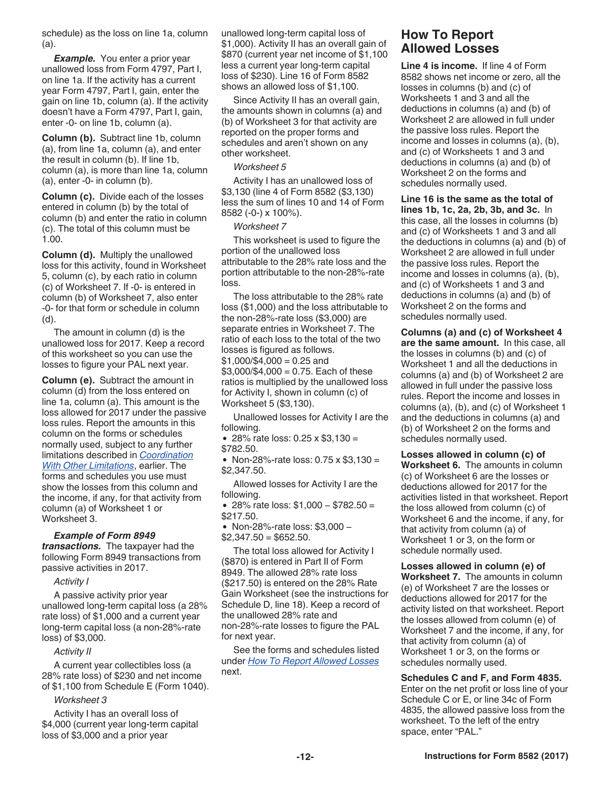<span id="page-11-0"></span>schedule) as the loss on line 1a, column (a).

*Example.* You enter a prior year unallowed loss from Form 4797, Part I, on line 1a. If the activity has a current year Form 4797, Part I, gain, enter the gain on line 1b, column (a). If the activity doesn't have a Form 4797, Part I, gain, enter -0- on line 1b, column (a).

**Column (b).** Subtract line 1b, column (a), from line 1a, column (a), and enter the result in column (b). If line 1b, column (a), is more than line 1a, column (a), enter -0- in column (b).

**Column (c).** Divide each of the losses entered in column (b) by the total of column (b) and enter the ratio in column (c). The total of this column must be 1.00.

**Column (d).** Multiply the unallowed loss for this activity, found in Worksheet 5, column (c), by each ratio in column (c) of Worksheet 7. If -0- is entered in column (b) of Worksheet 7, also enter -0- for that form or schedule in column (d).

The amount in column (d) is the unallowed loss for 2017. Keep a record of this worksheet so you can use the losses to figure your PAL next year.

**Column (e).** Subtract the amount in column (d) from the loss entered on line 1a, column (a). This amount is the loss allowed for 2017 under the passive loss rules. Report the amounts in this column on the forms or schedules normally used, subject to any further limitations described in *[Coordination](#page-0-0)  [With Other Limitations](#page-0-0)*, earlier. The forms and schedules you use must show the losses from this column and the income, if any, for that activity from column (a) of Worksheet 1 or Worksheet 3.

#### *Example of Form 8949*

*transactions.* The taxpayer had the following Form 8949 transactions from passive activities in 2017.

#### *Activity I*

A passive activity prior year unallowed long-term capital loss (a 28% rate loss) of \$1,000 and a current year long-term capital loss (a non-28%-rate loss) of \$3,000.

#### *Activity II*

A current year collectibles loss (a 28% rate loss) of \$230 and net income of \$1,100 from Schedule E (Form 1040).

#### *Worksheet 3*

Activity I has an overall loss of \$4,000 (current year long-term capital loss of \$3,000 and a prior year

unallowed long-term capital loss of \$1,000). Activity II has an overall gain of \$870 (current year net income of \$1,100 less a current year long-term capital loss of \$230). Line 16 of Form 8582 shows an allowed loss of \$1,100.

Since Activity II has an overall gain, the amounts shown in columns (a) and (b) of Worksheet 3 for that activity are reported on the proper forms and schedules and aren't shown on any other worksheet.

#### *Worksheet 5*

Activity I has an unallowed loss of \$3,130 (line 4 of Form 8582 (\$3,130) less the sum of lines 10 and 14 of Form 8582 (-0-) x 100%).

#### *Worksheet 7*

This worksheet is used to figure the portion of the unallowed loss attributable to the 28% rate loss and the portion attributable to the non-28%-rate loss.

The loss attributable to the 28% rate loss (\$1,000) and the loss attributable to the non-28%-rate loss (\$3,000) are separate entries in Worksheet 7. The ratio of each loss to the total of the two losses is figured as follows.  $$1,000/\$4,000 = 0.25$  and  $$3,000$ /\$4,000 = 0.75. Each of these ratios is multiplied by the unallowed loss for Activity I, shown in column (c) of Worksheet 5 (\$3,130).

Unallowed losses for Activity I are the following.

28% rate loss: 0.25 x \$3,130 =

\$782.50.

• Non-28%-rate loss:  $0.75 \times $3,130 =$ \$2,347.50.

Allowed losses for Activity I are the following.

28% rate loss: \$1,000 − \$782.50 = \$217.50.

Non-28%-rate loss: \$3,000 −  $$2,347.50 = $652.50.$ 

The total loss allowed for Activity I (\$870) is entered in Part II of Form 8949. The allowed 28% rate loss (\$217.50) is entered on the 28% Rate Gain Worksheet (see the instructions for Schedule D, line 18). Keep a record of the unallowed 28% rate and non-28%-rate losses to figure the PAL for next year.

See the forms and schedules listed under *How To Report Allowed Losses*  next.

## **How To Report Allowed Losses**

**Line 4 is income.** If line 4 of Form 8582 shows net income or zero, all the losses in columns (b) and (c) of Worksheets 1 and 3 and all the deductions in columns (a) and (b) of Worksheet 2 are allowed in full under the passive loss rules. Report the income and losses in columns (a), (b), and (c) of Worksheets 1 and 3 and deductions in columns (a) and (b) of Worksheet 2 on the forms and schedules normally used.

**Line 16 is the same as the total of lines 1b, 1c, 2a, 2b, 3b, and 3c.** In this case, all the losses in columns (b) and (c) of Worksheets 1 and 3 and all the deductions in columns (a) and (b) of Worksheet 2 are allowed in full under the passive loss rules. Report the income and losses in columns (a), (b), and (c) of Worksheets 1 and 3 and deductions in columns (a) and (b) of Worksheet 2 on the forms and schedules normally used.

**Columns (a) and (c) of Worksheet 4 are the same amount.** In this case, all the losses in columns (b) and (c) of Worksheet 1 and all the deductions in columns (a) and (b) of Worksheet 2 are allowed in full under the passive loss rules. Report the income and losses in columns (a), (b), and (c) of Worksheet 1 and the deductions in columns (a) and (b) of Worksheet 2 on the forms and schedules normally used.

**Losses allowed in column (c) of Worksheet 6.** The amounts in column (c) of Worksheet 6 are the losses or deductions allowed for 2017 for the activities listed in that worksheet. Report the loss allowed from column (c) of Worksheet 6 and the income, if any, for that activity from column (a) of Worksheet 1 or 3, on the form or schedule normally used.

**Losses allowed in column (e) of Worksheet 7.** The amounts in column (e) of Worksheet 7 are the losses or deductions allowed for 2017 for the activity listed on that worksheet. Report the losses allowed from column (e) of Worksheet 7 and the income, if any, for that activity from column (a) of Worksheet 1 or 3, on the forms or schedules normally used.

**Schedules C and F, and Form 4835.**  Enter on the net profit or loss line of your Schedule C or E, or line 34c of Form 4835, the allowed passive loss from the worksheet. To the left of the entry space, enter "PAL."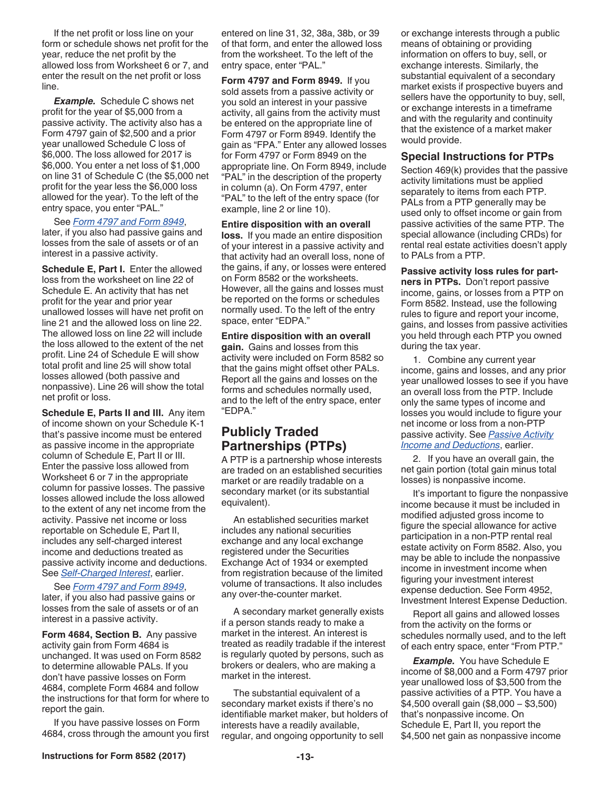<span id="page-12-0"></span>If the net profit or loss line on your form or schedule shows net profit for the year, reduce the net profit by the allowed loss from Worksheet 6 or 7, and enter the result on the net profit or loss line.

*Example.* Schedule C shows net profit for the year of \$5,000 from a passive activity. The activity also has a Form 4797 gain of \$2,500 and a prior year unallowed Schedule C loss of \$6,000. The loss allowed for 2017 is \$6,000. You enter a net loss of \$1,000 on line 31 of Schedule C (the \$5,000 net profit for the year less the \$6,000 loss allowed for the year). To the left of the entry space, you enter "PAL."

See *Form 4797 and Form 8949*, later, if you also had passive gains and losses from the sale of assets or of an interest in a passive activity.

**Schedule E, Part I.** Enter the allowed loss from the worksheet on line 22 of Schedule E. An activity that has net profit for the year and prior year unallowed losses will have net profit on line 21 and the allowed loss on line 22. The allowed loss on line 22 will include the loss allowed to the extent of the net profit. Line 24 of Schedule E will show total profit and line 25 will show total losses allowed (both passive and nonpassive). Line 26 will show the total net profit or loss.

**Schedule E, Parts II and III.** Any item of income shown on your Schedule K-1 that's passive income must be entered as passive income in the appropriate column of Schedule E, Part II or III. Enter the passive loss allowed from Worksheet 6 or 7 in the appropriate column for passive losses. The passive losses allowed include the loss allowed to the extent of any net income from the activity. Passive net income or loss reportable on Schedule E, Part II, includes any self-charged interest income and deductions treated as passive activity income and deductions. See *[Self-Charged Interest](#page-6-0)*, earlier.

See *Form 4797 and Form 8949*, later, if you also had passive gains or losses from the sale of assets or of an interest in a passive activity.

**Form 4684, Section B.** Any passive activity gain from Form 4684 is unchanged. It was used on Form 8582 to determine allowable PALs. If you don't have passive losses on Form 4684, complete Form 4684 and follow the instructions for that form for where to report the gain.

If you have passive losses on Form 4684, cross through the amount you first entered on line 31, 32, 38a, 38b, or 39 of that form, and enter the allowed loss from the worksheet. To the left of the entry space, enter "PAL."

**Form 4797 and Form 8949.** If you sold assets from a passive activity or you sold an interest in your passive activity, all gains from the activity must be entered on the appropriate line of Form 4797 or Form 8949. Identify the gain as "FPA." Enter any allowed losses for Form 4797 or Form 8949 on the appropriate line. On Form 8949, include "PAL" in the description of the property in column (a). On Form 4797, enter "PAL" to the left of the entry space (for example, line 2 or line 10).

**Entire disposition with an overall loss.** If you made an entire disposition of your interest in a passive activity and that activity had an overall loss, none of the gains, if any, or losses were entered on Form 8582 or the worksheets. However, all the gains and losses must be reported on the forms or schedules normally used. To the left of the entry space, enter "EDPA."

#### **Entire disposition with an overall**

**gain.** Gains and losses from this activity were included on Form 8582 so that the gains might offset other PALs. Report all the gains and losses on the forms and schedules normally used, and to the left of the entry space, enter "EDPA."

## **Publicly Traded Partnerships (PTPs)**

A PTP is a partnership whose interests are traded on an established securities market or are readily tradable on a secondary market (or its substantial equivalent).

An established securities market includes any national securities exchange and any local exchange registered under the Securities Exchange Act of 1934 or exempted from registration because of the limited volume of transactions. It also includes any over-the-counter market.

A secondary market generally exists if a person stands ready to make a market in the interest. An interest is treated as readily tradable if the interest is regularly quoted by persons, such as brokers or dealers, who are making a market in the interest.

The substantial equivalent of a secondary market exists if there's no identifiable market maker, but holders of interests have a readily available, regular, and ongoing opportunity to sell

or exchange interests through a public means of obtaining or providing information on offers to buy, sell, or exchange interests. Similarly, the substantial equivalent of a secondary market exists if prospective buyers and sellers have the opportunity to buy, sell, or exchange interests in a timeframe and with the regularity and continuity that the existence of a market maker would provide.

#### **Special Instructions for PTPs**

Section 469(k) provides that the passive activity limitations must be applied separately to items from each PTP. PALs from a PTP generally may be used only to offset income or gain from passive activities of the same PTP. The special allowance (including CRDs) for rental real estate activities doesn't apply to PALs from a PTP.

**Passive activity loss rules for partners in PTPs.** Don't report passive income, gains, or losses from a PTP on Form 8582. Instead, use the following rules to figure and report your income, gains, and losses from passive activities you held through each PTP you owned during the tax year.

1. Combine any current year income, gains and losses, and any prior year unallowed losses to see if you have an overall loss from the PTP. Include only the same types of income and losses you would include to figure your net income or loss from a non-PTP passive activity. See *[Passive Activity](#page-5-0)  [Income and Deductions](#page-5-0)*, earlier.

2. If you have an overall gain, the net gain portion (total gain minus total losses) is nonpassive income.

It's important to figure the nonpassive income because it must be included in modified adjusted gross income to figure the special allowance for active participation in a non-PTP rental real estate activity on Form 8582. Also, you may be able to include the nonpassive income in investment income when figuring your investment interest expense deduction. See Form 4952, Investment Interest Expense Deduction.

Report all gains and allowed losses from the activity on the forms or schedules normally used, and to the left of each entry space, enter "From PTP."

*Example.* You have Schedule E income of \$8,000 and a Form 4797 prior year unallowed loss of \$3,500 from the passive activities of a PTP. You have a \$4,500 overall gain (\$8,000 − \$3,500) that's nonpassive income. On Schedule E, Part II, you report the \$4,500 net gain as nonpassive income